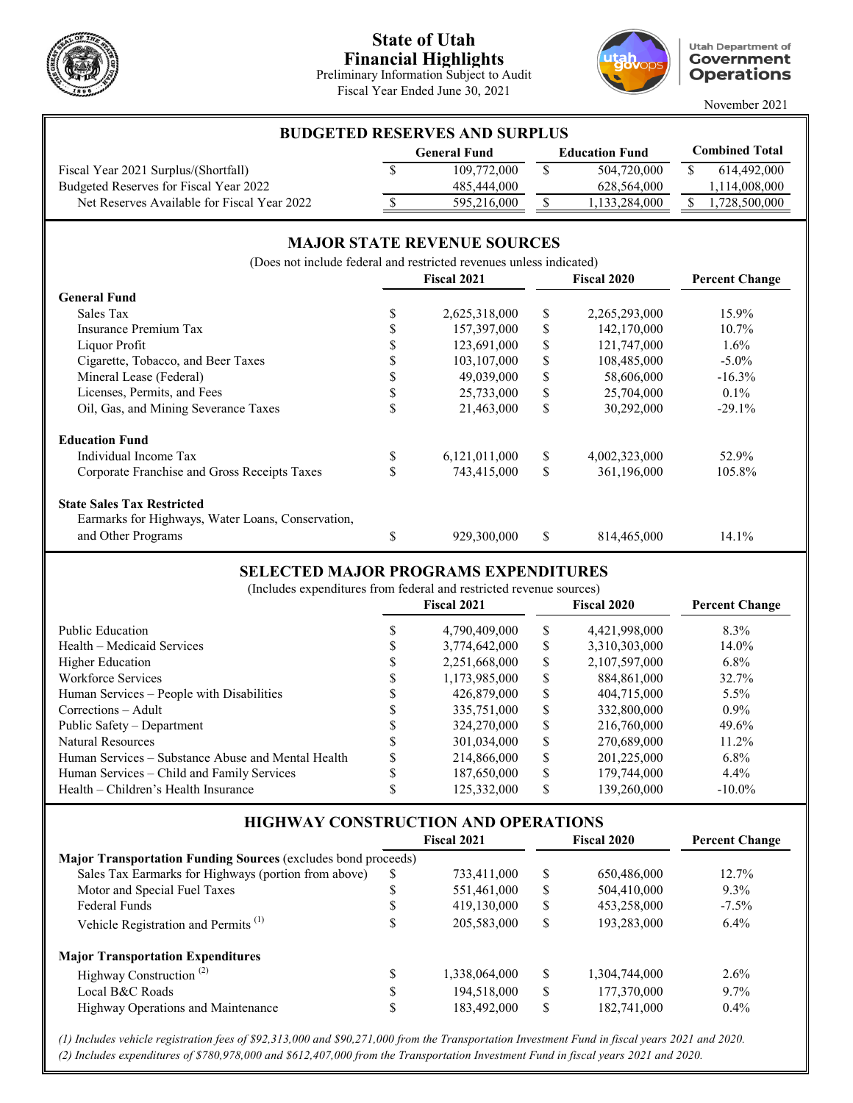

### **State of Utah Financial Highlights**

Preliminary Information Subject to Audit Fiscal Year Ended June 30, 2021



**Utah Department of Government Operations** 

November 2021

| <b>BUDGETED RESERVES AND SURPLUS</b>        |                     |             |                       |               |                       |               |  |
|---------------------------------------------|---------------------|-------------|-----------------------|---------------|-----------------------|---------------|--|
|                                             | <b>General Fund</b> |             | <b>Education Fund</b> |               | <b>Combined Total</b> |               |  |
| Fiscal Year 2021 Surplus/(Shortfall)        |                     | 109,772,000 |                       | 504,720,000   |                       | 614,492,000   |  |
| Budgeted Reserves for Fiscal Year 2022      |                     | 485,444,000 |                       | 628,564,000   |                       | 1,114,008,000 |  |
| Net Reserves Available for Fiscal Year 2022 |                     | 595,216,000 |                       | 1,133,284,000 |                       | 1,728,500,000 |  |

#### **MAJOR STATE REVENUE SOURCES**

**Fiscal 2021 Fiscal 2020 Percent Change General Fund** Sales Tax \$ 2,625,318,000 \$ 2,265,293,000 15.9% Insurance Premium Tax \$ 157,397,000 \$ 142,170,000 10.7% Liquor Profit \$ 123,691,000 \$ 121,747,000 1.6% Cigarette, Tobacco, and Beer Taxes  $$ 103,107,000 \quad $ 108,485,000 \quad $-5.0\%$ Mineral Lease (Federal)  $$ 49,039,000 $ 58,606,000 -16.3\%$ Licenses, Permits, and Fees  $\qquad$   $\qquad$   $\qquad$   $\qquad$   $\qquad$   $\qquad$   $\qquad$   $\qquad$   $\qquad$   $\qquad$   $\qquad$   $\qquad$   $\qquad$   $\qquad$   $\qquad$   $\qquad$   $\qquad$   $\qquad$   $\qquad$   $\qquad$   $\qquad$   $\qquad$   $\qquad$   $\qquad$   $\qquad$   $\qquad$   $\qquad$   $\qquad$   $\qquad$   $\qquad$   $\qquad$   $\qquad$   $\$ Oil, Gas, and Mining Severance Taxes  $\qquad$  \$ 21,463,000 \$ 30,292,000 -29.1% **Education Fund** Individual Income Tax \$ 6,121,011,000 \$ 4,002,323,000 52.9% Corporate Franchise and Gross Receipts Taxes  $$743,415,000 \$ 361,196,000 \t105.8\%$ **State Sales Tax Restricted** \$ 929,300,000 \$ 814,465,000 14.1% Earmarks for Highways, Water Loans, Conservation, and Other Programs (Does not include federal and restricted revenues unless indicated)

### **SELECTED MAJOR PROGRAMS EXPENDITURES**

| www.com www.com community. When we will we                          |  |                    |    |                    |                       |  |
|---------------------------------------------------------------------|--|--------------------|----|--------------------|-----------------------|--|
| (Includes expenditures from federal and restricted revenue sources) |  |                    |    |                    |                       |  |
|                                                                     |  | <b>Fiscal 2021</b> |    | <b>Fiscal 2020</b> | <b>Percent Change</b> |  |
| Public Education                                                    |  | 4,790,409,000      | S  | 4,421,998,000      | 8.3%                  |  |
| Health – Medicaid Services                                          |  | 3,774,642,000      | S  | 3,310,303,000      | 14.0%                 |  |
| Higher Education                                                    |  | 2,251,668,000      | S  | 2,107,597,000      | $6.8\%$               |  |
| Workforce Services                                                  |  | 1,173,985,000      | \$ | 884,861,000        | 32.7%                 |  |
| Human Services – People with Disabilities                           |  | 426,879,000        | \$ | 404,715,000        | $5.5\%$               |  |
| Corrections – Adult                                                 |  | 335,751,000        | \$ | 332,800,000        | $0.9\%$               |  |
| Public Safety - Department                                          |  | 324,270,000        | \$ | 216,760,000        | 49.6%                 |  |
| Natural Resources                                                   |  | 301,034,000        | \$ | 270,689,000        | 11.2%                 |  |
| Human Services – Substance Abuse and Mental Health                  |  | 214,866,000        | \$ | 201,225,000        | $6.8\%$               |  |
| Human Services – Child and Family Services                          |  | 187,650,000        |    | 179,744,000        | $4.4\%$               |  |
|                                                                     |  |                    |    |                    |                       |  |

Health – Children's Health Insurance \$ 125,332,000 \$ 139,260,000 -10.0%

| <b>HIGHWAY CONSTRUCTION AND OPERATIONS</b>                    |    | <b>Fiscal 2021</b> |    | <b>Fiscal 2020</b> | <b>Percent Change</b> |
|---------------------------------------------------------------|----|--------------------|----|--------------------|-----------------------|
| Major Transportation Funding Sources (excludes bond proceeds) |    |                    |    |                    |                       |
| Sales Tax Earmarks for Highways (portion from above)          | S  | 733,411,000        | S  | 650,486,000        | $12.7\%$              |
| Motor and Special Fuel Taxes                                  | ۰D | 551,461,000        | S  | 504,410,000        | $9.3\%$               |
| Federal Funds                                                 |    | 419,130,000        | S  | 453,258,000        | $-7.5\%$              |
| Vehicle Registration and Permits <sup>(1)</sup>               | ۰D | 205,583,000        | S  | 193,283,000        | $6.4\%$               |
| <b>Major Transportation Expenditures</b>                      |    |                    |    |                    |                       |
| Highway Construction <sup>(2)</sup>                           | \$ | 1,338,064,000      | \$ | 1,304,744,000      | $2.6\%$               |
| Local B&C Roads                                               | D  | 194.518.000        | \$ | 177,370,000        | $9.7\%$               |
| Highway Operations and Maintenance                            | ۰D | 183,492,000        | S  | 182,741,000        | $0.4\%$               |

*(1) Includes vehicle registration fees of \$92,313,000 and \$90,271,000 from the Transportation Investment Fund in fiscal years 2021 and 2020. (2) Includes expenditures of \$780,978,000 and \$612,407,000 from the Transportation Investment Fund in fiscal years 2021 and 2020.*